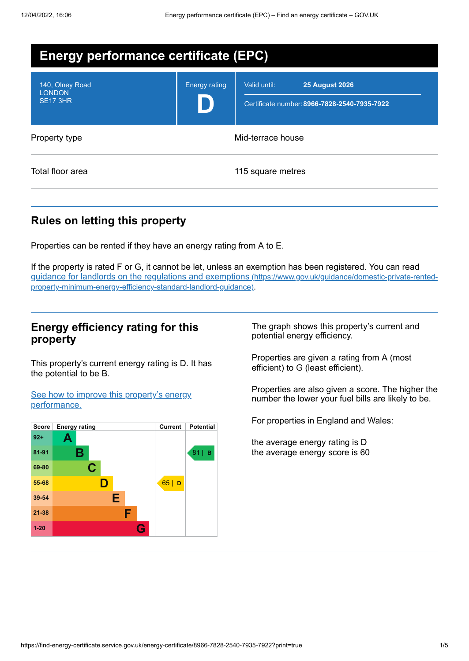| <b>Energy performance certificate (EPC)</b>         |                      |                                                                                       |  |  |
|-----------------------------------------------------|----------------------|---------------------------------------------------------------------------------------|--|--|
| 140, Olney Road<br><b>LONDON</b><br><b>SE17 3HR</b> | <b>Energy rating</b> | Valid until:<br><b>25 August 2026</b><br>Certificate number: 8966-7828-2540-7935-7922 |  |  |
| Property type                                       | Mid-terrace house    |                                                                                       |  |  |
| Total floor area                                    |                      | 115 square metres                                                                     |  |  |

# **Rules on letting this property**

Properties can be rented if they have an energy rating from A to E.

If the property is rated F or G, it cannot be let, unless an exemption has been registered. You can read guidance for landlords on the regulations and exemptions (https://www.gov.uk/guidance/domestic-private-rented[property-minimum-energy-efficiency-standard-landlord-guidance\)](https://www.gov.uk/guidance/domestic-private-rented-property-minimum-energy-efficiency-standard-landlord-guidance).

### **Energy efficiency rating for this property**

This property's current energy rating is D. It has the potential to be B.

See how to improve this property's energy [performance.](#page-2-0)



The graph shows this property's current and potential energy efficiency.

Properties are given a rating from A (most efficient) to G (least efficient).

Properties are also given a score. The higher the number the lower your fuel bills are likely to be.

For properties in England and Wales:

the average energy rating is D the average energy score is 60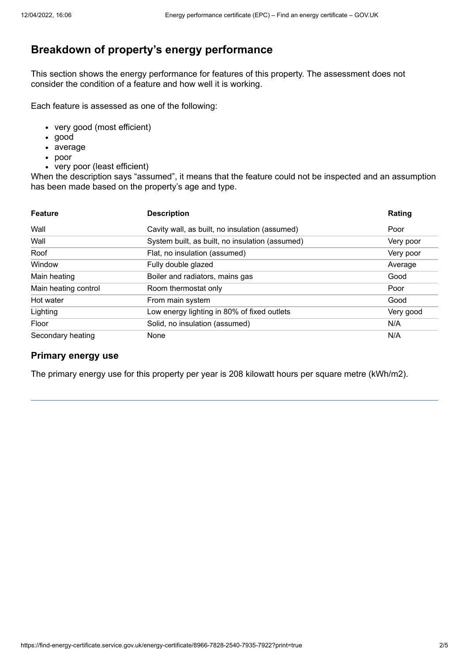# **Breakdown of property's energy performance**

This section shows the energy performance for features of this property. The assessment does not consider the condition of a feature and how well it is working.

Each feature is assessed as one of the following:

- very good (most efficient)
- good
- average
- poor
- very poor (least efficient)

When the description says "assumed", it means that the feature could not be inspected and an assumption has been made based on the property's age and type.

| <b>Feature</b>       | <b>Description</b>                              | Rating    |
|----------------------|-------------------------------------------------|-----------|
| Wall                 | Cavity wall, as built, no insulation (assumed)  | Poor      |
| Wall                 | System built, as built, no insulation (assumed) | Very poor |
| Roof                 | Flat, no insulation (assumed)                   | Very poor |
| Window               | Fully double glazed                             | Average   |
| Main heating         | Boiler and radiators, mains gas                 | Good      |
| Main heating control | Room thermostat only                            | Poor      |
| Hot water            | From main system                                | Good      |
| Lighting             | Low energy lighting in 80% of fixed outlets     | Very good |
| Floor                | Solid, no insulation (assumed)                  | N/A       |
| Secondary heating    | None                                            | N/A       |

#### **Primary energy use**

The primary energy use for this property per year is 208 kilowatt hours per square metre (kWh/m2).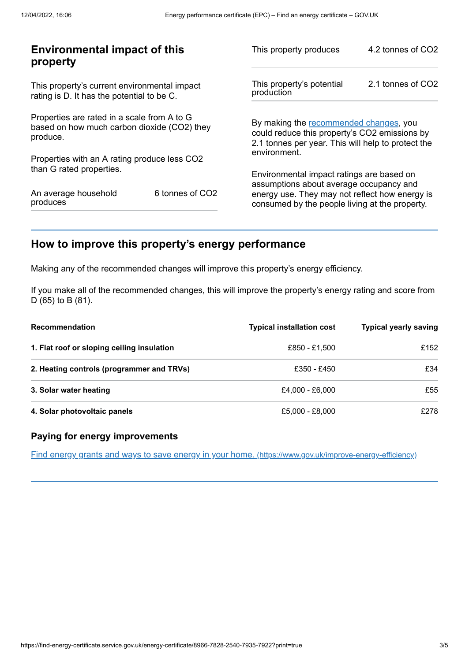| <b>Environmental impact of this</b><br>property                                                        |                             | This property produces                                                                                                                        | 4.2 tonnes of CO2 |
|--------------------------------------------------------------------------------------------------------|-----------------------------|-----------------------------------------------------------------------------------------------------------------------------------------------|-------------------|
| This property's current environmental impact<br>rating is D. It has the potential to be C.             |                             | This property's potential<br>production                                                                                                       | 2.1 tonnes of CO2 |
| Properties are rated in a scale from A to G<br>based on how much carbon dioxide (CO2) they<br>produce. |                             | By making the recommended changes, you<br>could reduce this property's CO2 emissions by<br>2.1 tonnes per year. This will help to protect the |                   |
| Properties with an A rating produce less CO2                                                           |                             | environment.                                                                                                                                  |                   |
| than G rated properties.                                                                               |                             | Environmental impact ratings are based on<br>assumptions about average occupancy and                                                          |                   |
| An average household<br>produces                                                                       | 6 tonnes of CO <sub>2</sub> | energy use. They may not reflect how energy is<br>consumed by the people living at the property.                                              |                   |
|                                                                                                        |                             |                                                                                                                                               |                   |

## <span id="page-2-0"></span>**How to improve this property's energy performance**

Making any of the recommended changes will improve this property's energy efficiency.

If you make all of the recommended changes, this will improve the property's energy rating and score from D (65) to B (81).

| <b>Recommendation</b>                      | <b>Typical installation cost</b> | <b>Typical yearly saving</b> |
|--------------------------------------------|----------------------------------|------------------------------|
| 1. Flat roof or sloping ceiling insulation | £850 - £1,500                    | £152                         |
| 2. Heating controls (programmer and TRVs)  | £350 - £450                      | £34                          |
| 3. Solar water heating                     | £4.000 - £6.000                  | £55                          |
| 4. Solar photovoltaic panels               | £5.000 - £8.000                  | £278                         |

#### **Paying for energy improvements**

Find energy grants and ways to save energy in your home. [\(https://www.gov.uk/improve-energy-efficiency\)](https://www.gov.uk/improve-energy-efficiency)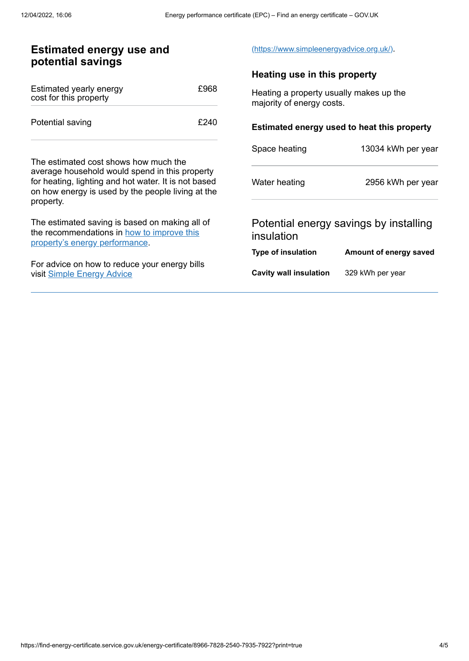#### **Estimated energy use and potential savings** Estimated yearly energy cost for this property £968 Potential saving **E240** The estimated cost shows how much the average household would spend in this property for heating, lighting and hot water. It is not based on how energy is used by the people living at the property. The estimated saving is based on making all of the [recommendations](#page-2-0) in how to improve this property's energy performance. For advice on how to reduce your energy bills visit Simple [Energy](https://www.simpleenergyadvice.org.uk/) Advice [\(https://www.simpleenergyadvice.org.uk/\)](https://www.simpleenergyadvice.org.uk/). **Heating use in this property** Heating a property usually makes up the majority of energy costs. **Estimated energy used to heat this property** Space heating 13034 kWh per year Water heating 2956 kWh per year Potential energy savings by installing insulation **Type of insulation Amount of energy saved Cavity wall insulation** 329 kWh per year